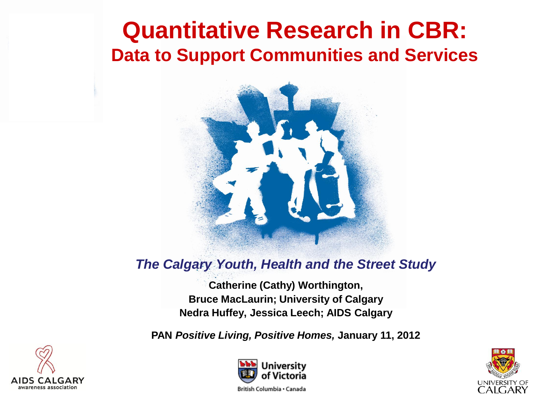## **Quantitative Research in CBR: Data to Support Communities and Services**



#### *The Calgary Youth, Health and the Street Study*

**Catherine (Cathy) Worthington, Bruce MacLaurin; University of Calgary Nedra Huffey, Jessica Leech; AIDS Calgary**

**PAN** *Positive Living, Positive Homes,* **January 11, 2012**





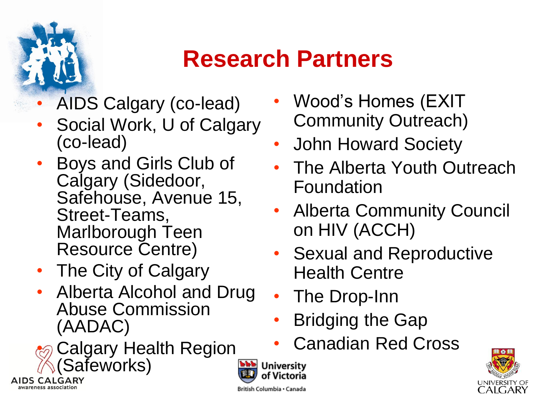

awareness association

## **Research Partners**

**University** Victoria

British Columbia · Canada

- AIDS Calgary (co-lead)
- Social Work, U of Calgary (co-lead)
- Boys and Girls Club of Calgary (Sidedoor, Safehouse, Avenue 15, Street-Teams, Marlborough Teen Resource Centre)
- The City of Calgary
- Alberta Alcohol and Drug Abuse Commission (AADAC)
- Calgary Health Region (Safeworks) **AIDS CALGARY**
- Wood's Homes (EXIT Community Outreach)
- John Howard Society
- The Alberta Youth Outreach Foundation
- Alberta Community Council on HIV (ACCH)
- Sexual and Reproductive Health Centre
- The Drop-Inn
- Bridging the Gap
- Canadian Red Cross

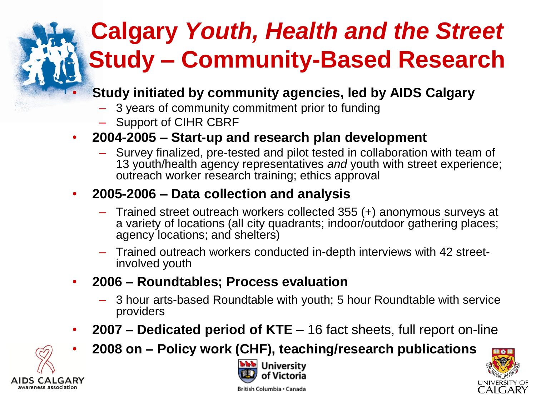## **Calgary** *Youth, Health and the Street* **Study – Community-Based Research**

- **Study initiated by community agencies, led by AIDS Calgary**
	- 3 years of community commitment prior to funding
	- Support of CIHR CBRF

#### • **2004-2005 – Start-up and research plan development**

– Survey finalized, pre-tested and pilot tested in collaboration with team of 13 youth/health agency representatives *and* youth with street experience; outreach worker research training; ethics approval

#### • **2005-2006 – Data collection and analysis**

- Trained street outreach workers collected 355 (+) anonymous surveys at a variety of locations (all city quadrants; indoor/outdoor gathering places; agency locations; and shelters)
- Trained outreach workers conducted in-depth interviews with 42 streetinvolved youth
- **2006 – Roundtables; Process evaluation**
	- 3 hour arts-based Roundtable with youth; 5 hour Roundtable with service providers
- **2007 – Dedicated period of KTE**  16 fact sheets, full report on-line







British Columbia · Canada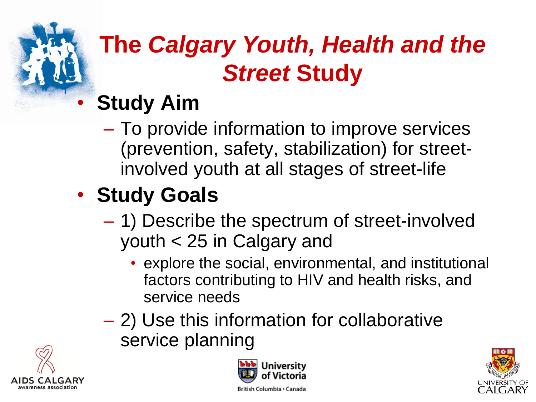

## **The** *Calgary Youth, Health and the Street* **Study**

## • **Study Aim**

– To provide information to improve services (prevention, safety, stabilization) for streetinvolved youth at all stages of street-life

## • **Study Goals**

- 1) Describe the spectrum of street-involved youth < 25 in Calgary and
	- explore the social, environmental, and institutional factors contributing to HIV and health risks, and service needs
- 2) Use this information for collaborative service planning





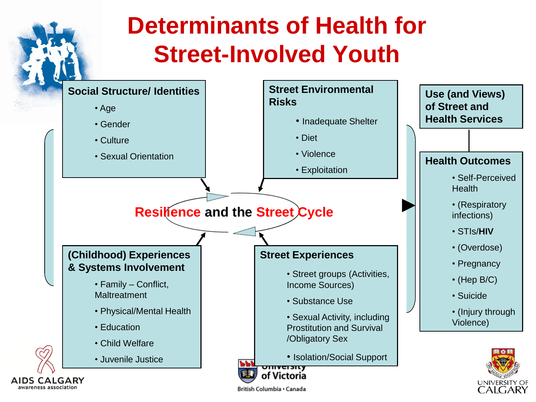#### **Determinants of Health for Street-Involved Youth Street Environmental Social Structure/ Identities Use (and Views) Risks of Street and**  • Age **Health Services**• Inadequate Shelter • Gender • Diet • Culture • Violence • Sexual Orientation **Health Outcomes** • Exploitation • Self-Perceived **Health** • (Respiratory **Resilience and the Street Cycle** infections) • STIs/**HIV** • (Overdose) **(Childhood) Experiences Street Experiences** • Pregnancy **& Systems Involvement** • Street groups (Activities, • (Hep B/C) • Family – Conflict, Income Sources) **Maltreatment** • Suicide • Substance Use • Physical/Mental Health • (Injury through • Sexual Activity, including Violence) • Education Prostitution and Survival /Obligatory Sex • Child Welfare • Isolation/Social Support • Juvenile Justice 551 <del>omversity</del> of Victoria AIDS CALGARY **UNIVERSIT** awareness association

British Columbia · Canada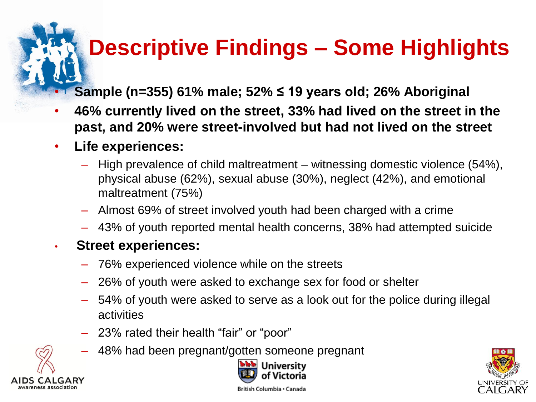## **Descriptive Findings – Some Highlights**

• **Sample (n=355) 61% male; 52% ≤ 19 years old; 26% Aboriginal**

- **46% currently lived on the street, 33% had lived on the street in the past, and 20% were street-involved but had not lived on the street**
- **Life experiences:**
	- High prevalence of child maltreatment witnessing domestic violence (54%), physical abuse (62%), sexual abuse (30%), neglect (42%), and emotional maltreatment (75%)
	- Almost 69% of street involved youth had been charged with a crime
	- 43% of youth reported mental health concerns, 38% had attempted suicide

#### • **Street experiences:**

- 76% experienced violence while on the streets
- 26% of youth were asked to exchange sex for food or shelter
- 54% of youth were asked to serve as a look out for the police during illegal activities
- 23% rated their health "fair" or "poor"
- 48% had been pregnant/gotten someone pregnant





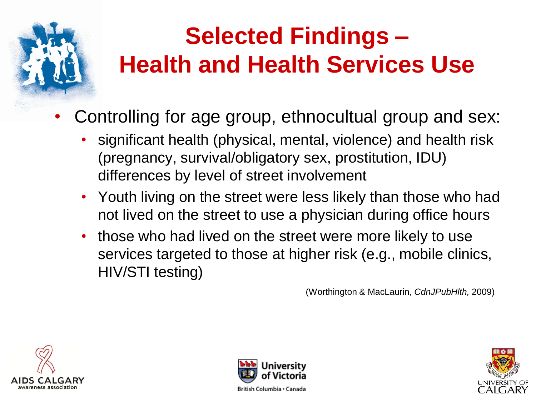

## **Selected Findings – Health and Health Services Use**

- Controlling for age group, ethnocultual group and sex:
	- significant health (physical, mental, violence) and health risk (pregnancy, survival/obligatory sex, prostitution, IDU) differences by level of street involvement
	- Youth living on the street were less likely than those who had not lived on the street to use a physician during office hours
	- those who had lived on the street were more likely to use services targeted to those at higher risk (e.g., mobile clinics, HIV/STI testing)

(Worthington & MacLaurin, *CdnJPubHlth,* 2009)





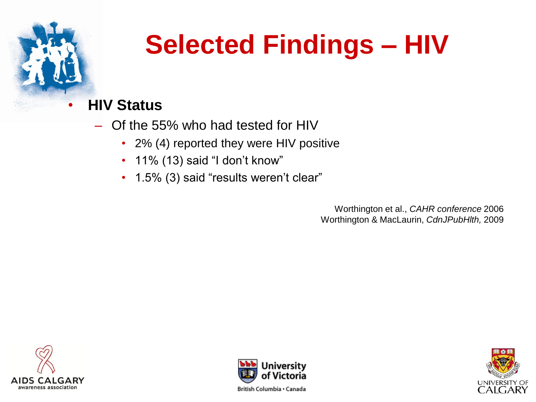![](_page_7_Picture_0.jpeg)

## **Selected Findings – HIV**

#### • **HIV Status**

- Of the 55% who had tested for HIV
	- 2% (4) reported they were HIV positive
	- 11% (13) said "I don't know"
	- 1.5% (3) said "results weren't clear"

Worthington et al., *CAHR conference* 2006 Worthington & MacLaurin, *CdnJPubHlth,* 2009

![](_page_7_Picture_8.jpeg)

![](_page_7_Picture_9.jpeg)

![](_page_7_Picture_10.jpeg)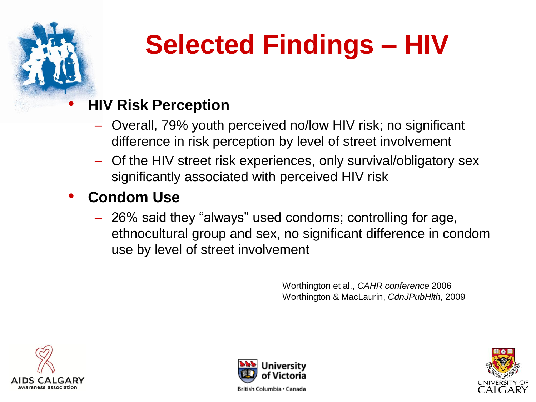![](_page_8_Picture_0.jpeg)

# **Selected Findings – HIV**

#### • **HIV Risk Perception**

- Overall, 79% youth perceived no/low HIV risk; no significant difference in risk perception by level of street involvement
- Of the HIV street risk experiences, only survival/obligatory sex significantly associated with perceived HIV risk

#### • **Condom Use**

– 26% said they "always" used condoms; controlling for age, ethnocultural group and sex, no significant difference in condom use by level of street involvement

> Worthington et al., *CAHR conference* 2006 Worthington & MacLaurin, *CdnJPubHlth,* 2009

![](_page_8_Picture_8.jpeg)

![](_page_8_Picture_9.jpeg)

![](_page_8_Picture_10.jpeg)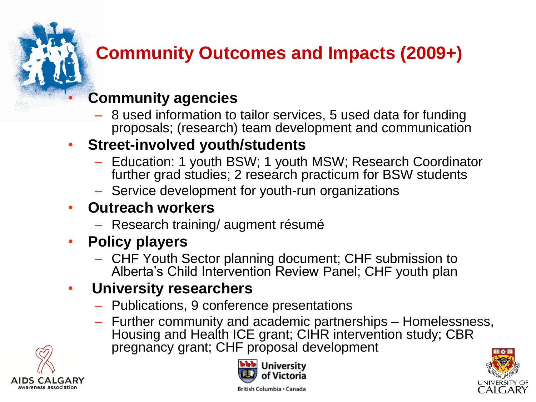### **Community Outcomes and Impacts (2009+)**

#### • **Community agencies**

– 8 used information to tailor services, 5 used data for funding proposals; (research) team development and communication

#### • **Street-involved youth/students**

- Education: 1 youth BSW; 1 youth MSW; Research Coordinator further grad studies; 2 research practicum for BSW students
- Service development for youth-run organizations

#### • **Outreach workers**

- Research training/ augment résumé
- **Policy players**
	- CHF Youth Sector planning document; CHF submission to Alberta's Child Intervention Review Panel; CHF youth plan

#### • **University researchers**

- Publications, 9 conference presentations
- Further community and academic partnerships Homelessness, Housing and Health ICE grant; CIHR intervention study; CBR pregnancy grant; CHF proposal development

![](_page_9_Picture_13.jpeg)

![](_page_9_Picture_14.jpeg)

![](_page_9_Picture_15.jpeg)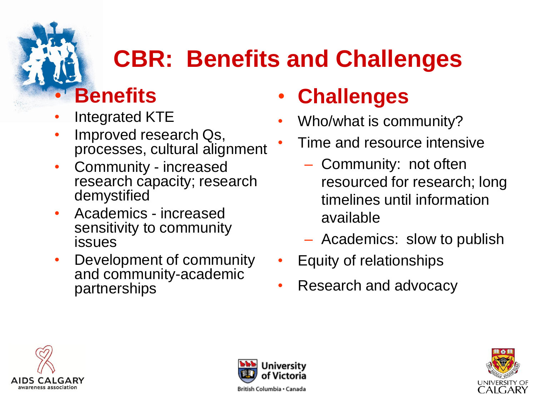## **CBR: Benefits and Challenges**

### • **Benefits**

- Integrated KTE
- Improved research Qs, processes, cultural alignment
- Community increased research capacity; research demystified
- Academics increased sensitivity to community **issues**
- Development of community and community-academic partnerships

## • **Challenges**

- Who/what is community?
- Time and resource intensive
	- Community: not often resourced for research; long timelines until information available
	- Academics: slow to publish
- Equity of relationships
- Research and advocacy

![](_page_10_Picture_14.jpeg)

![](_page_10_Picture_15.jpeg)

![](_page_10_Picture_16.jpeg)